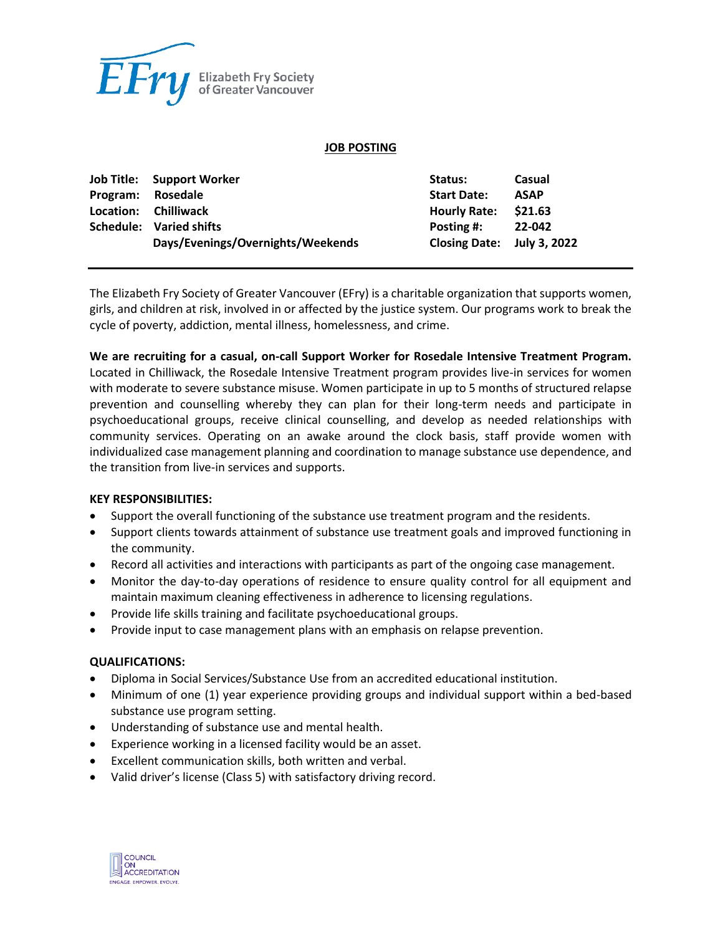

#### **JOB POSTING**

|          | <b>Job Title:</b> Support Worker  | Status:                    | Casual      |
|----------|-----------------------------------|----------------------------|-------------|
| Program: | Rosedale                          | <b>Start Date:</b>         | <b>ASAP</b> |
|          | Location: Chilliwack              | <b>Hourly Rate:</b>        | \$21.63     |
|          | Schedule: Varied shifts           | Posting #:                 | 22-042      |
|          | Days/Evenings/Overnights/Weekends | Closing Date: July 3, 2022 |             |

The Elizabeth Fry Society of Greater Vancouver (EFry) is a charitable organization that supports women, girls, and children at risk, involved in or affected by the justice system. Our programs work to break the cycle of poverty, addiction, mental illness, homelessness, and crime.

**We are recruiting for a casual, on-call Support Worker for Rosedale Intensive Treatment Program.**  Located in Chilliwack, the Rosedale Intensive Treatment program provides live-in services for women with moderate to severe substance misuse. Women participate in up to 5 months of structured relapse prevention and counselling whereby they can plan for their long-term needs and participate in psychoeducational groups, receive clinical counselling, and develop as needed relationships with community services. Operating on an awake around the clock basis, staff provide women with individualized case management planning and coordination to manage substance use dependence, and the transition from live-in services and supports.

## **KEY RESPONSIBILITIES:**

- Support the overall functioning of the substance use treatment program and the residents.
- Support clients towards attainment of substance use treatment goals and improved functioning in the community.
- Record all activities and interactions with participants as part of the ongoing case management.
- Monitor the day-to-day operations of residence to ensure quality control for all equipment and maintain maximum cleaning effectiveness in adherence to licensing regulations.
- Provide life skills training and facilitate psychoeducational groups.
- Provide input to case management plans with an emphasis on relapse prevention.

#### **QUALIFICATIONS:**

- Diploma in Social Services/Substance Use from an accredited educational institution.
- Minimum of one (1) year experience providing groups and individual support within a bed-based substance use program setting.
- Understanding of substance use and mental health.
- Experience working in a licensed facility would be an asset.
- Excellent communication skills, both written and verbal.
- Valid driver's license (Class 5) with satisfactory driving record.